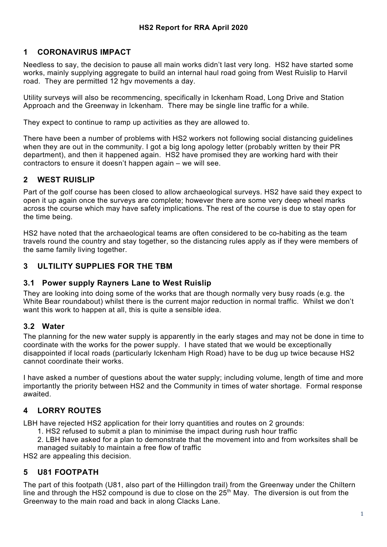## **1 CORONAVIRUS IMPACT**

Needless to say, the decision to pause all main works didn't last very long. HS2 have started some works, mainly supplying aggregate to build an internal haul road going from West Ruislip to Harvil road. They are permitted 12 hgv movements a day.

Utility surveys will also be recommencing, specifically in Ickenham Road, Long Drive and Station Approach and the Greenway in Ickenham. There may be single line traffic for a while.

They expect to continue to ramp up activities as they are allowed to.

There have been a number of problems with HS2 workers not following social distancing guidelines when they are out in the community. I got a big long apology letter (probably written by their PR department), and then it happened again. HS2 have promised they are working hard with their contractors to ensure it doesn't happen again – we will see.

#### **2 WEST RUISLIP**

Part of the golf course has been closed to allow archaeological surveys. HS2 have said they expect to open it up again once the surveys are complete; however there are some very deep wheel marks across the course which may have safety implications. The rest of the course is due to stay open for the time being.

HS2 have noted that the archaeological teams are often considered to be co-habiting as the team travels round the country and stay together, so the distancing rules apply as if they were members of the same family living together.

#### **3 ULTILITY SUPPLIES FOR THE TBM**

#### **3.1 Power supply Rayners Lane to West Ruislip**

They are looking into doing some of the works that are though normally very busy roads (e.g. the White Bear roundabout) whilst there is the current major reduction in normal traffic. Whilst we don't want this work to happen at all, this is quite a sensible idea.

#### **3.2 Water**

The planning for the new water supply is apparently in the early stages and may not be done in time to coordinate with the works for the power supply. I have stated that we would be exceptionally disappointed if local roads (particularly Ickenham High Road) have to be dug up twice because HS2 cannot coordinate their works.

I have asked a number of questions about the water supply; including volume, length of time and more importantly the priority between HS2 and the Community in times of water shortage. Formal response awaited.

## **4 LORRY ROUTES**

LBH have rejected HS2 application for their lorry quantities and routes on 2 grounds:

- 1. HS2 refused to submit a plan to minimise the impact during rush hour traffic
- 2. LBH have asked for a plan to demonstrate that the movement into and from worksites shall be managed suitably to maintain a free flow of traffic

HS2 are appealing this decision.

## **5 U81 FOOTPATH**

The part of this footpath (U81, also part of the Hillingdon trail) from the Greenway under the Chiltern line and through the HS2 compound is due to close on the  $25<sup>th</sup>$  May. The diversion is out from the Greenway to the main road and back in along Clacks Lane.